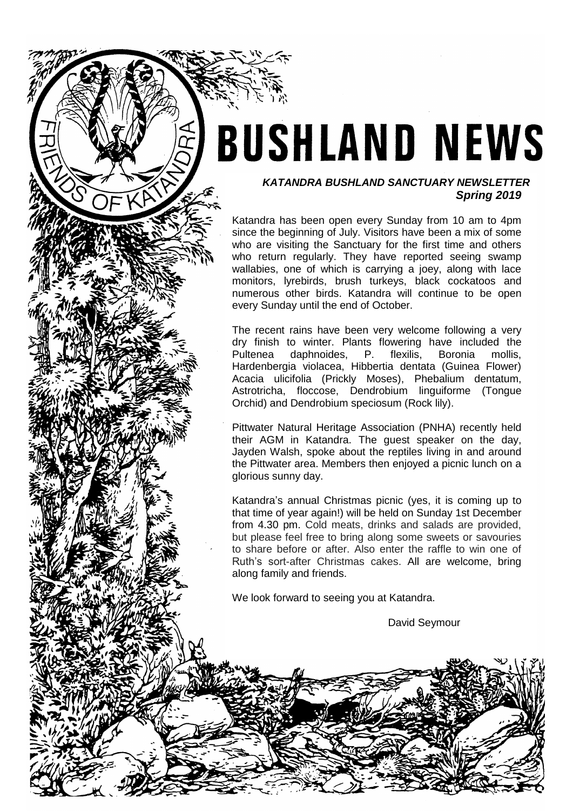# **BUSHLAND NEWS**

#### *KATANDRA BUSHLAND SANCTUARY NEWSLETTER Spring 2019*

Katandra has been open every Sunday from 10 am to 4pm since the beginning of July. Visitors have been a mix of some who are visiting the Sanctuary for the first time and others who return regularly. They have reported seeing swamp wallabies, one of which is carrying a joey, along with lace monitors, lyrebirds, brush turkeys, black cockatoos and numerous other birds. Katandra will continue to be open every Sunday until the end of October.

The recent rains have been very welcome following a very dry finish to winter. Plants flowering have included the Pultenea daphnoides, P. flexilis, Boronia mollis, Hardenbergia violacea, Hibbertia dentata (Guinea Flower) Acacia ulicifolia (Prickly Moses), Phebalium dentatum, Astrotricha, floccose, Dendrobium linguiforme (Tongue Orchid) and Dendrobium speciosum (Rock lily).

Pittwater Natural Heritage Association (PNHA) recently held their AGM in Katandra. The guest speaker on the day, Jayden Walsh, spoke about the reptiles living in and around the Pittwater area. Members then enjoyed a picnic lunch on a glorious sunny day.

Katandra's annual Christmas picnic (yes, it is coming up to that time of year again!) will be held on Sunday 1st December from 4.30 pm. Cold meats, drinks and salads are provided, but please feel free to bring along some sweets or savouries to share before or after. Also enter the raffle to win one of Ruth's sort-after Christmas cakes. All are welcome, bring along family and friends.

We look forward to seeing you at Katandra.

David Seymour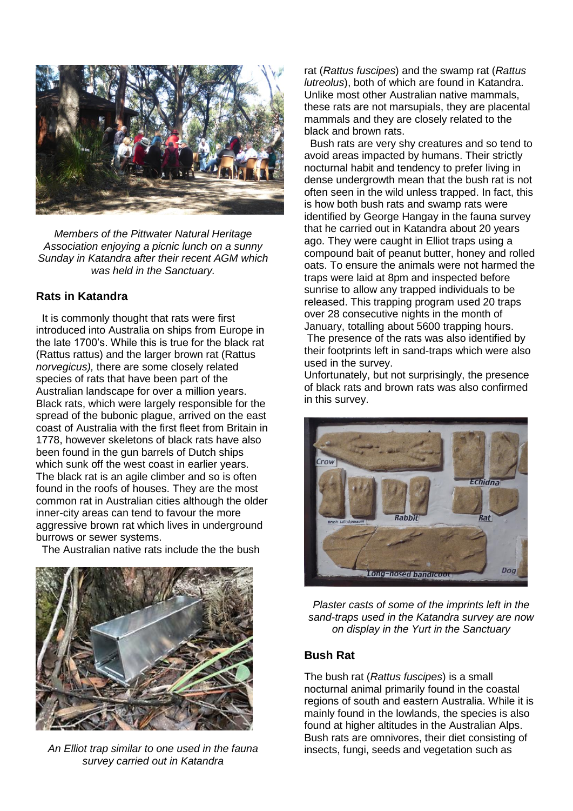

*Members of the Pittwater Natural Heritage Association enjoying a picnic lunch on a sunny Sunday in Katandra after their recent AGM which was held in the Sanctuary.*

# **Rats in Katandra**

 It is commonly thought that rats were first introduced into Australia on ships from Europe in the late 1700's. While this is true for the black rat (Rattus rattus) and the larger brown rat (Rattus *norvegicus),* there are some closely related species of rats that have been part of the Australian landscape for over a million years. Black rats, which were largely responsible for the spread of the bubonic plague, arrived on the east coast of Australia with the first fleet from Britain in 1778, however skeletons of black rats have also been found in the gun barrels of Dutch ships which sunk off the west coast in earlier years. The black rat is an agile climber and so is often found in the roofs of houses. They are the most common rat in Australian cities although the older inner-city areas can tend to favour the more aggressive brown rat which lives in underground burrows or sewer systems.

The Australian native rats include the the bush



*An Elliot trap similar to one used in the fauna survey carried out in Katandra*

rat (*Rattus fuscipes*) and the swamp rat (*Rattus lutreolus*), both of which are found in Katandra. Unlike most other Australian native mammals, these rats are not marsupials, they are placental mammals and they are closely related to the black and brown rats.

 Bush rats are very shy creatures and so tend to avoid areas impacted by humans. Their strictly nocturnal habit and tendency to prefer living in dense undergrowth mean that the bush rat is not often seen in the wild unless trapped. In fact, this is how both bush rats and swamp rats were identified by George Hangay in the fauna survey that he carried out in Katandra about 20 years ago. They were caught in Elliot traps using a compound bait of peanut butter, honey and rolled oats. To ensure the animals were not harmed the traps were laid at 8pm and inspected before sunrise to allow any trapped individuals to be released. This trapping program used 20 traps over 28 consecutive nights in the month of January, totalling about 5600 trapping hours.

The presence of the rats was also identified by their footprints left in sand-traps which were also used in the survey.

Unfortunately, but not surprisingly, the presence of black rats and brown rats was also confirmed in this survey.



*Plaster casts of some of the imprints left in the sand-traps used in the Katandra survey are now on display in the Yurt in the Sanctuary*

# **Bush Rat**

The bush rat (*Rattus fuscipes*) is a small nocturnal animal primarily found in the coastal regions of south and eastern Australia. While it is mainly found in the lowlands, the species is also found at higher altitudes in the Australian Alps. Bush rats are omnivores, their diet consisting of insects, fungi, seeds and vegetation such as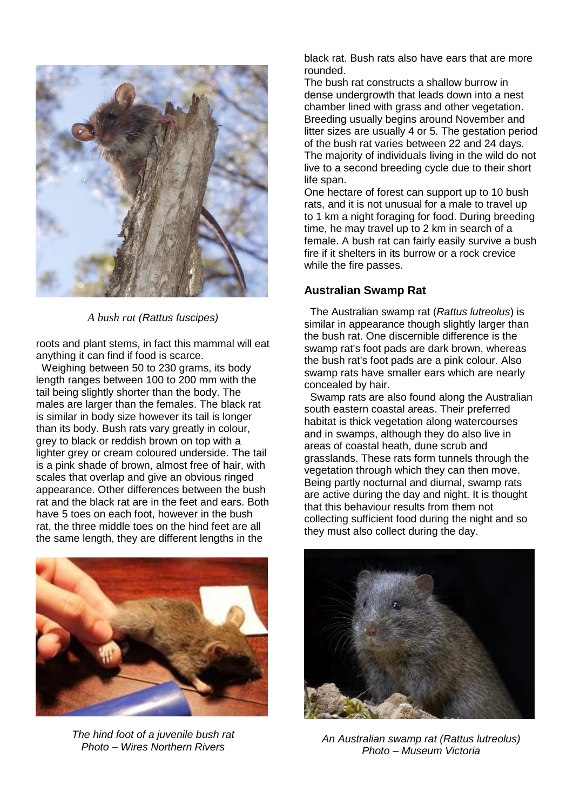

*A bush rat (Rattus fuscipes)*

roots and plant stems, in fact this mammal will eat anything it can find if food is scarce.

 Weighing between 50 to 230 grams, its body length ranges between 100 to 200 mm with the tail being slightly shorter than the body. The males are larger than the females. The black rat is similar in body size however its tail is longer than its body. Bush rats vary greatly in colour, grey to black or reddish brown on top with a lighter grey or cream coloured underside. The tail is a pink shade of brown, almost free of hair, with scales that overlap and give an obvious ringed appearance. Other differences between the bush rat and the black rat are in the feet and ears. Both have 5 toes on each foot, however in the bush rat, the three middle toes on the hind feet are all the same length, they are different lengths in the



*The hind foot of a juvenile bush rat Photo – Wires Northern Rivers*

black rat. Bush rats also have ears that are more rounded.

The bush rat constructs a shallow burrow in dense undergrowth that leads down into a nest chamber lined with grass and other vegetation. Breeding usually begins around November and litter sizes are usually 4 or 5. The gestation period of the bush rat varies between 22 and 24 days. The majority of individuals living in the wild do not live to a second breeding cycle due to their short life span.

One hectare of forest can support up to 10 bush rats, and it is not unusual for a male to travel up to 1 km a night foraging for food. During breeding time, he may travel up to 2 km in search of a female. A bush rat can fairly easily survive a bush fire if it shelters in its burrow or a rock crevice while the fire passes.

# **Australian Swamp Rat**

 The Australian swamp rat (*Rattus lutreolus*) is similar in appearance though slightly larger than the bush rat. One discernible difference is the swamp rat's foot pads are dark brown, whereas the bush rat's foot pads are a pink colour. Also swamp rats have smaller ears which are nearly concealed by hair.

 Swamp rats are also found along the Australian south eastern coastal areas. Their preferred habitat is thick vegetation along watercourses and in swamps, although they do also live in areas of coastal heath, dune scrub and grasslands. These rats form tunnels through the vegetation through which they can then move. Being partly nocturnal and diurnal, swamp rats are active during the day and night. It is thought that this behaviour results from them not collecting sufficient food during the night and so they must also collect during the day.



*An Australian swamp rat (Rattus lutreolus) Photo – Museum Victoria*